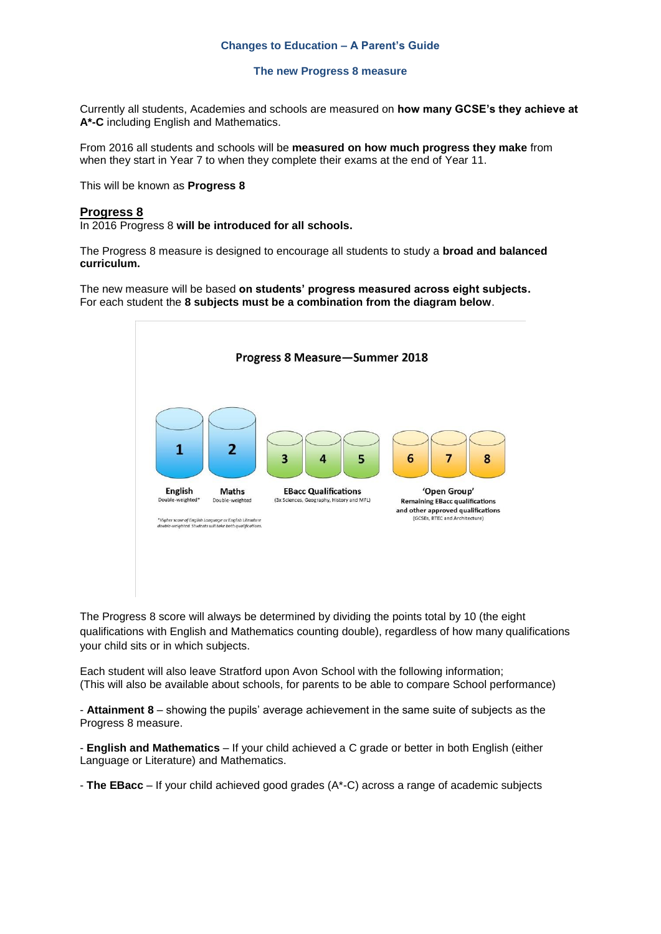#### **Changes to Education – A Parent's Guide**

#### **The new Progress 8 measure**

Currently all students, Academies and schools are measured on **how many GCSE's they achieve at A\*-C** including English and Mathematics.

From 2016 all students and schools will be **measured on how much progress they make** from when they start in Year 7 to when they complete their exams at the end of Year 11.

This will be known as **Progress 8** 

### **Progress 8**

In 2016 Progress 8 **will be introduced for all schools.** 

The Progress 8 measure is designed to encourage all students to study a **broad and balanced curriculum.** 

The new measure will be based **on students' progress measured across eight subjects.** For each student the **8 subjects must be a combination from the diagram below**.



The Progress 8 score will always be determined by dividing the points total by 10 (the eight qualifications with English and Mathematics counting double), regardless of how many qualifications your child sits or in which subjects.

Each student will also leave Stratford upon Avon School with the following information; (This will also be available about schools, for parents to be able to compare School performance)

- **Attainment 8** – showing the pupils' average achievement in the same suite of subjects as the Progress 8 measure.

- **English and Mathematics** – If your child achieved a C grade or better in both English (either Language or Literature) and Mathematics.

- **The EBacc** – If your child achieved good grades (A\*-C) across a range of academic subjects